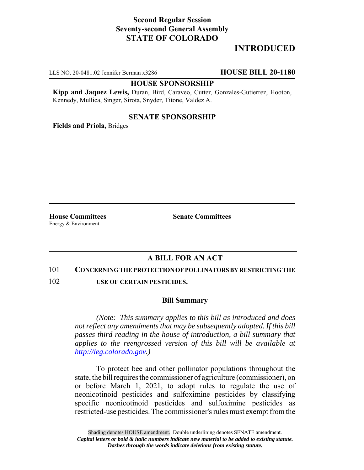# **Second Regular Session Seventy-second General Assembly STATE OF COLORADO**

# **INTRODUCED**

LLS NO. 20-0481.02 Jennifer Berman x3286 **HOUSE BILL 20-1180**

### **HOUSE SPONSORSHIP**

**Kipp and Jaquez Lewis,** Duran, Bird, Caraveo, Cutter, Gonzales-Gutierrez, Hooton, Kennedy, Mullica, Singer, Sirota, Snyder, Titone, Valdez A.

### **SENATE SPONSORSHIP**

**Fields and Priola,** Bridges

Energy & Environment

**House Committees Senate Committees** 

## **A BILL FOR AN ACT**

#### 101 **CONCERNING THE PROTECTION OF POLLINATORS BY RESTRICTING THE**

102 **USE OF CERTAIN PESTICIDES.**

#### **Bill Summary**

*(Note: This summary applies to this bill as introduced and does not reflect any amendments that may be subsequently adopted. If this bill passes third reading in the house of introduction, a bill summary that applies to the reengrossed version of this bill will be available at http://leg.colorado.gov.)*

To protect bee and other pollinator populations throughout the state, the bill requires the commissioner of agriculture (commissioner), on or before March 1, 2021, to adopt rules to regulate the use of neonicotinoid pesticides and sulfoximine pesticides by classifying specific neonicotinoid pesticides and sulfoximine pesticides as restricted-use pesticides. The commissioner's rules must exempt from the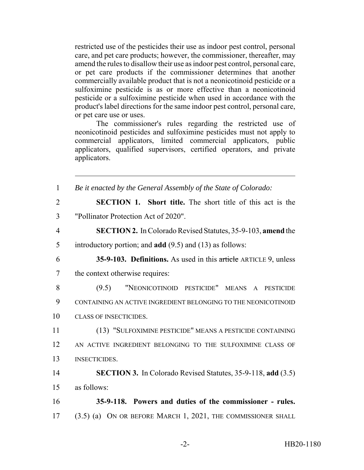restricted use of the pesticides their use as indoor pest control, personal care, and pet care products; however, the commissioner, thereafter, may amend the rules to disallow their use as indoor pest control, personal care, or pet care products if the commissioner determines that another commercially available product that is not a neonicotinoid pesticide or a sulfoximine pesticide is as or more effective than a neonicotinoid pesticide or a sulfoximine pesticide when used in accordance with the product's label directions for the same indoor pest control, personal care, or pet care use or uses.

The commissioner's rules regarding the restricted use of neonicotinoid pesticides and sulfoximine pesticides must not apply to commercial applicators, limited commercial applicators, public applicators, qualified supervisors, certified operators, and private applicators.

| $\mathbf{1}$   | Be it enacted by the General Assembly of the State of Colorado:     |
|----------------|---------------------------------------------------------------------|
| $\overline{2}$ | <b>SECTION 1.</b> Short title. The short title of this act is the   |
| 3              | "Pollinator Protection Act of 2020".                                |
| $\overline{4}$ | <b>SECTION 2.</b> In Colorado Revised Statutes, 35-9-103, amend the |
| 5              | introductory portion; and $add(9.5)$ and $(13)$ as follows:         |
| 6              | 35-9-103. Definitions. As used in this article ARTICLE 9, unless    |
| $\overline{7}$ | the context otherwise requires:                                     |
| 8              | "NEONICOTINOID PESTICIDE" MEANS A PESTICIDE<br>(9.5)                |
| 9              | CONTAINING AN ACTIVE INGREDIENT BELONGING TO THE NEONICOTINOID      |
| 10             | <b>CLASS OF INSECTICIDES.</b>                                       |
| 11             | (13) "SULFOXIMINE PESTICIDE" MEANS A PESTICIDE CONTAINING           |
| 12             | AN ACTIVE INGREDIENT BELONGING TO THE SULFOXIMINE CLASS OF          |
| 13             | <b>INSECTICIDES.</b>                                                |
| 14             | <b>SECTION 3.</b> In Colorado Revised Statutes, 35-9-118, add (3.5) |
| 15             | as follows:                                                         |
| 16             | 35-9-118. Powers and duties of the commissioner - rules.            |
| 17             | (3.5) (a) ON OR BEFORE MARCH 1, 2021, THE COMMISSIONER SHALL        |
|                |                                                                     |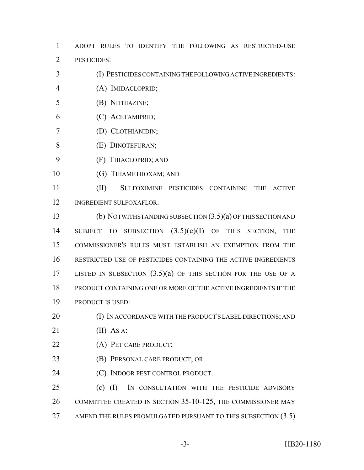ADOPT RULES TO IDENTIFY THE FOLLOWING AS RESTRICTED-USE PESTICIDES:

- (I) PESTICIDES CONTAINING THE FOLLOWING ACTIVE INGREDIENTS:
- (A) IMIDACLOPRID;
- (B) NITHIAZINE;
- (C) ACETAMIPRID;
- (D) CLOTHIANIDIN;
- (E) DINOTEFURAN;
- (F) THIACLOPRID; AND
- 10 (G) THIAMETHOXAM; AND

 (II) SULFOXIMINE PESTICIDES CONTAINING THE ACTIVE INGREDIENT SULFOXAFLOR.

 (b) NOTWITHSTANDING SUBSECTION (3.5)(a) OF THIS SECTION AND SUBJECT TO SUBSECTION (3.5)(c)(I) OF THIS SECTION, THE COMMISSIONER'S RULES MUST ESTABLISH AN EXEMPTION FROM THE RESTRICTED USE OF PESTICIDES CONTAINING THE ACTIVE INGREDIENTS LISTED IN SUBSECTION (3.5)(a) OF THIS SECTION FOR THE USE OF A PRODUCT CONTAINING ONE OR MORE OF THE ACTIVE INGREDIENTS IF THE PRODUCT IS USED:

- 20 (I) IN ACCORDANCE WITH THE PRODUCT'S LABEL DIRECTIONS; AND
- (II) AS A:
- (A) PET CARE PRODUCT;
- (B) PERSONAL CARE PRODUCT; OR
- (C) INDOOR PEST CONTROL PRODUCT.

 (c) (I) IN CONSULTATION WITH THE PESTICIDE ADVISORY COMMITTEE CREATED IN SECTION 35-10-125, THE COMMISSIONER MAY 27 AMEND THE RULES PROMULGATED PURSUANT TO THIS SUBSECTION (3.5)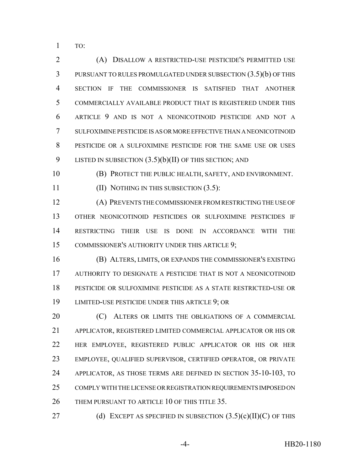TO:

 (A) DISALLOW A RESTRICTED-USE PESTICIDE'S PERMITTED USE PURSUANT TO RULES PROMULGATED UNDER SUBSECTION (3.5)(b) OF THIS SECTION IF THE COMMISSIONER IS SATISFIED THAT ANOTHER COMMERCIALLY AVAILABLE PRODUCT THAT IS REGISTERED UNDER THIS ARTICLE 9 AND IS NOT A NEONICOTINOID PESTICIDE AND NOT A SULFOXIMINE PESTICIDE IS AS OR MORE EFFECTIVE THAN A NEONICOTINOID PESTICIDE OR A SULFOXIMINE PESTICIDE FOR THE SAME USE OR USES 9 LISTED IN SUBSECTION  $(3.5)(b)(II)$  OF THIS SECTION; AND

(B) PROTECT THE PUBLIC HEALTH, SAFETY, AND ENVIRONMENT.

(II) NOTHING IN THIS SUBSECTION (3.5):

 (A) PREVENTS THE COMMISSIONER FROM RESTRICTING THE USE OF OTHER NEONICOTINOID PESTICIDES OR SULFOXIMINE PESTICIDES IF RESTRICTING THEIR USE IS DONE IN ACCORDANCE WITH THE COMMISSIONER'S AUTHORITY UNDER THIS ARTICLE 9;

 (B) ALTERS, LIMITS, OR EXPANDS THE COMMISSIONER'S EXISTING AUTHORITY TO DESIGNATE A PESTICIDE THAT IS NOT A NEONICOTINOID PESTICIDE OR SULFOXIMINE PESTICIDE AS A STATE RESTRICTED-USE OR LIMITED-USE PESTICIDE UNDER THIS ARTICLE 9; OR

**(C)** ALTERS OR LIMITS THE OBLIGATIONS OF A COMMERCIAL APPLICATOR, REGISTERED LIMITED COMMERCIAL APPLICATOR OR HIS OR HER EMPLOYEE, REGISTERED PUBLIC APPLICATOR OR HIS OR HER EMPLOYEE, QUALIFIED SUPERVISOR, CERTIFIED OPERATOR, OR PRIVATE APPLICATOR, AS THOSE TERMS ARE DEFINED IN SECTION 35-10-103, TO COMPLY WITH THE LICENSE OR REGISTRATION REQUIREMENTS IMPOSED ON THEM PURSUANT TO ARTICLE 10 OF THIS TITLE 35.

27 (d) EXCEPT AS SPECIFIED IN SUBSECTION  $(3.5)(c)(II)(C)$  OF THIS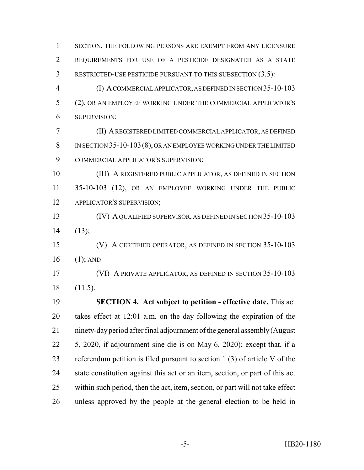1 SECTION, THE FOLLOWING PERSONS ARE EXEMPT FROM ANY LICENSURE REQUIREMENTS FOR USE OF A PESTICIDE DESIGNATED AS A STATE RESTRICTED-USE PESTICIDE PURSUANT TO THIS SUBSECTION (3.5): (I) A COMMERCIAL APPLICATOR, AS DEFINED IN SECTION 35-10-103 (2), OR AN EMPLOYEE WORKING UNDER THE COMMERCIAL APPLICATOR'S SUPERVISION;

 (II) A REGISTERED LIMITED COMMERCIAL APPLICATOR, AS DEFINED IN SECTION 35-10-103(8), OR AN EMPLOYEE WORKING UNDER THE LIMITED COMMERCIAL APPLICATOR'S SUPERVISION;

 (III) A REGISTERED PUBLIC APPLICATOR, AS DEFINED IN SECTION 35-10-103 (12), OR AN EMPLOYEE WORKING UNDER THE PUBLIC APPLICATOR'S SUPERVISION;

 (IV) A QUALIFIED SUPERVISOR, AS DEFINED IN SECTION 35-10-103 (13);

 (V) A CERTIFIED OPERATOR, AS DEFINED IN SECTION 35-10-103 (1); AND

 (VI) A PRIVATE APPLICATOR, AS DEFINED IN SECTION 35-10-103 (11.5).

 **SECTION 4. Act subject to petition - effective date.** This act takes effect at 12:01 a.m. on the day following the expiration of the ninety-day period after final adjournment of the general assembly (August 5, 2020, if adjournment sine die is on May 6, 2020); except that, if a referendum petition is filed pursuant to section 1 (3) of article V of the state constitution against this act or an item, section, or part of this act within such period, then the act, item, section, or part will not take effect unless approved by the people at the general election to be held in